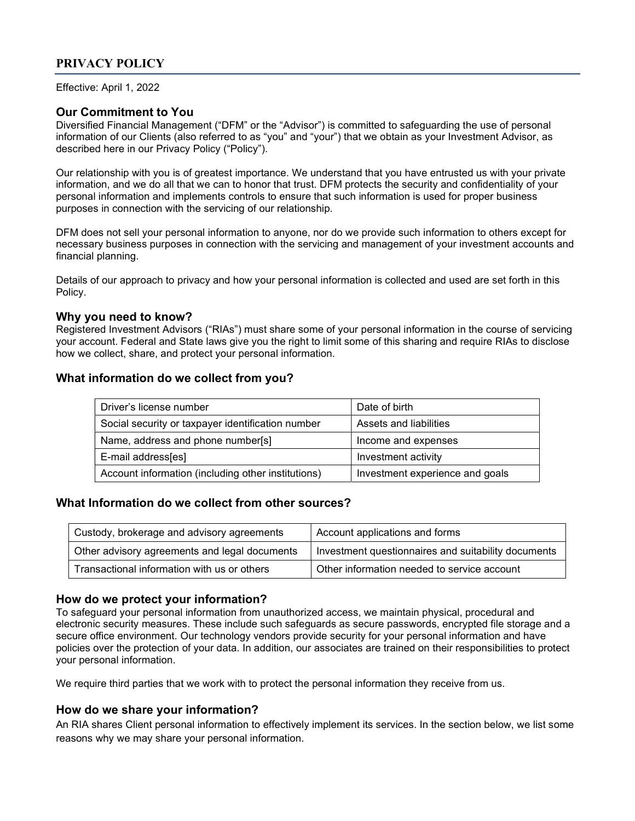# PRIVACY POLICY

Effective: April 1, 2022

### Our Commitment to You

Diversified Financial Management ("DFM" or the "Advisor") is committed to safeguarding the use of personal information of our Clients (also referred to as "you" and "your") that we obtain as your Investment Advisor, as described here in our Privacy Policy ("Policy").

Our relationship with you is of greatest importance. We understand that you have entrusted us with your private information, and we do all that we can to honor that trust. DFM protects the security and confidentiality of your personal information and implements controls to ensure that such information is used for proper business purposes in connection with the servicing of our relationship.

DFM does not sell your personal information to anyone, nor do we provide such information to others except for necessary business purposes in connection with the servicing and management of your investment accounts and financial planning.

Details of our approach to privacy and how your personal information is collected and used are set forth in this Policy.

#### Why you need to know?

Registered Investment Advisors ("RIAs") must share some of your personal information in the course of servicing your account. Federal and State laws give you the right to limit some of this sharing and require RIAs to disclose how we collect, share, and protect your personal information.

#### What information do we collect from you?

| Driver's license number                            | Date of birth                   |
|----------------------------------------------------|---------------------------------|
| Social security or taxpayer identification number  | Assets and liabilities          |
| Name, address and phone number[s]                  | Income and expenses             |
| E-mail address[es]                                 | Investment activity             |
| Account information (including other institutions) | Investment experience and goals |

## What Information do we collect from other sources?

| Custody, brokerage and advisory agreements    | Account applications and forms                      |
|-----------------------------------------------|-----------------------------------------------------|
| Other advisory agreements and legal documents | Investment questionnaires and suitability documents |
| Transactional information with us or others   | Other information needed to service account         |

#### How do we protect your information?

To safeguard your personal information from unauthorized access, we maintain physical, procedural and electronic security measures. These include such safeguards as secure passwords, encrypted file storage and a secure office environment. Our technology vendors provide security for your personal information and have policies over the protection of your data. In addition, our associates are trained on their responsibilities to protect your personal information.

We require third parties that we work with to protect the personal information they receive from us.

#### How do we share your information?

An RIA shares Client personal information to effectively implement its services. In the section below, we list some reasons why we may share your personal information.